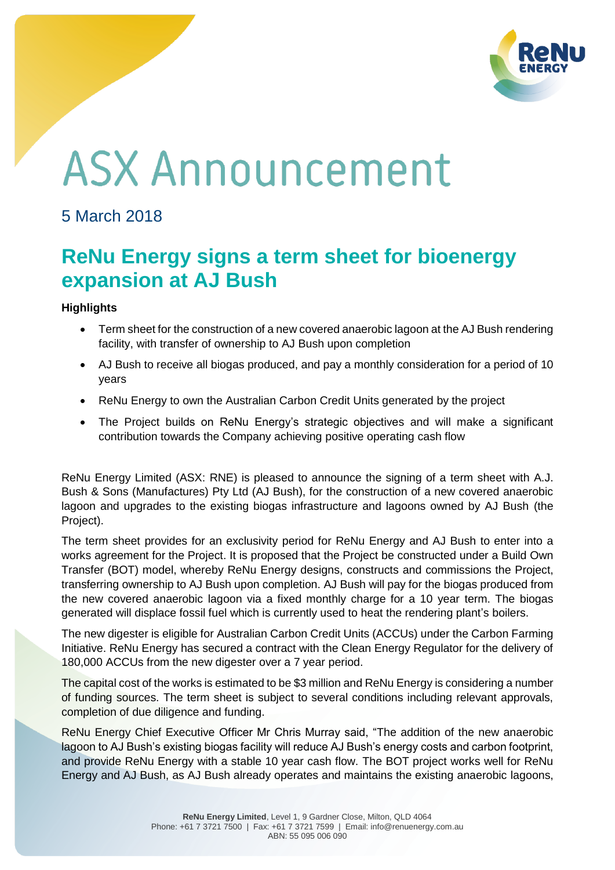

# **ASX Announcement**

## 5 March 2018

## **ReNu Energy signs a term sheet for bioenergy expansion at AJ Bush**

### **Highlights**

- Term sheet for the construction of a new covered anaerobic lagoon at the AJ Bush rendering facility, with transfer of ownership to AJ Bush upon completion
- AJ Bush to receive all biogas produced, and pay a monthly consideration for a period of 10 years
- ReNu Energy to own the Australian Carbon Credit Units generated by the project
- The Project builds on ReNu Energy's strategic objectives and will make a significant contribution towards the Company achieving positive operating cash flow

ReNu Energy Limited (ASX: RNE) is pleased to announce the signing of a term sheet with A.J. Bush & Sons (Manufactures) Pty Ltd (AJ Bush), for the construction of a new covered anaerobic lagoon and upgrades to the existing biogas infrastructure and lagoons owned by AJ Bush (the Project).

The term sheet provides for an exclusivity period for ReNu Energy and AJ Bush to enter into a works agreement for the Project. It is proposed that the Project be constructed under a Build Own Transfer (BOT) model, whereby ReNu Energy designs, constructs and commissions the Project, transferring ownership to AJ Bush upon completion. AJ Bush will pay for the biogas produced from the new covered anaerobic lagoon via a fixed monthly charge for a 10 year term. The biogas generated will displace fossil fuel which is currently used to heat the rendering plant's boilers.

The new digester is eligible for Australian Carbon Credit Units (ACCUs) under the Carbon Farming Initiative. ReNu Energy has secured a contract with the Clean Energy Regulator for the delivery of 180,000 ACCUs from the new digester over a 7 year period.

The capital cost of the works is estimated to be \$3 million and ReNu Energy is considering a number of funding sources. The term sheet is subject to several conditions including relevant approvals, completion of due diligence and funding.

ReNu Energy Chief Executive Officer Mr Chris Murray said, "The addition of the new anaerobic lagoon to AJ Bush's existing biogas facility will reduce AJ Bush's energy costs and carbon footprint, and provide ReNu Energy with a stable 10 year cash flow. The BOT project works well for ReNu Energy and AJ Bush, as AJ Bush already operates and maintains the existing anaerobic lagoons,